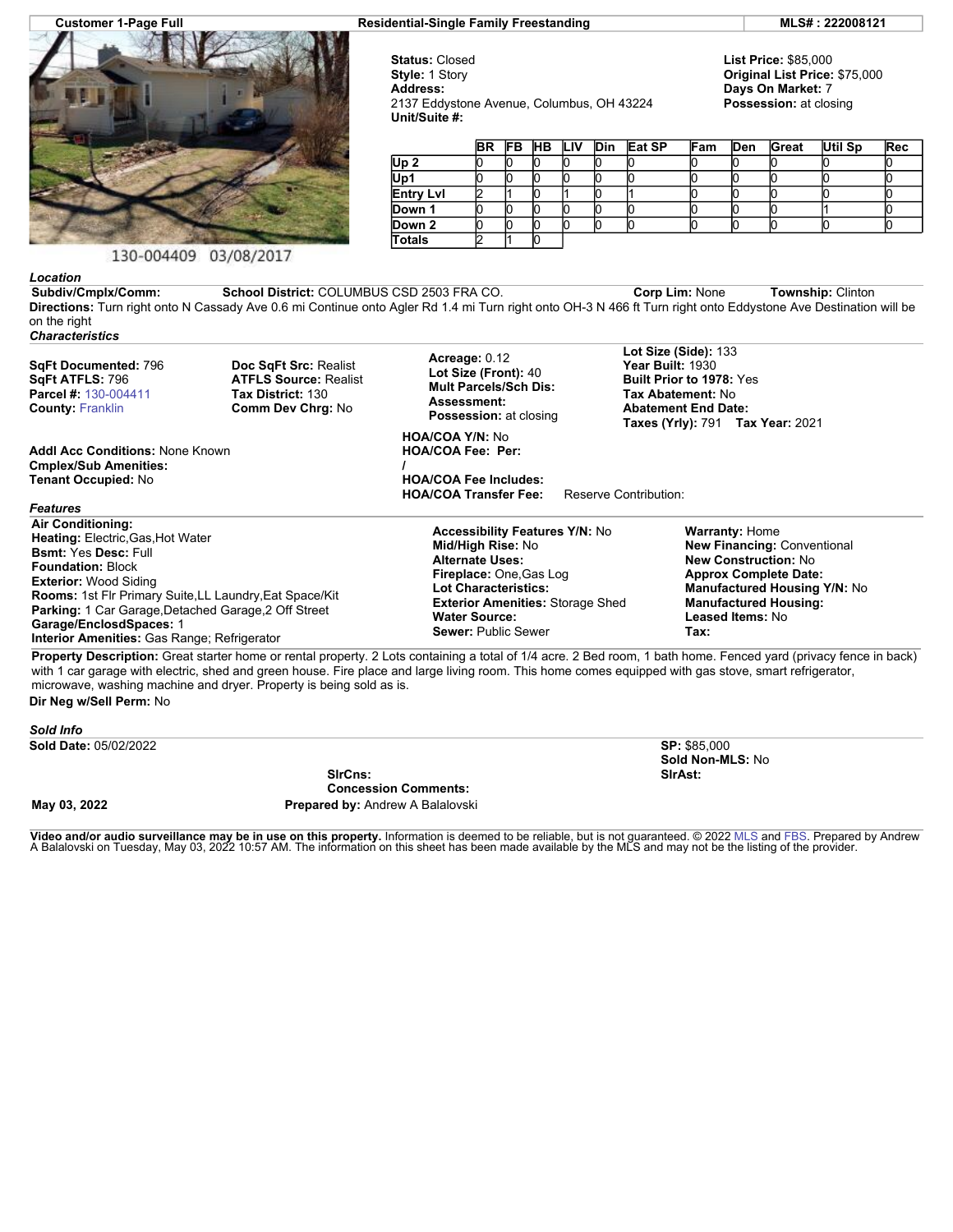

## 130-004409 03/08/2017

**Customer 1-Page Full Residential-Single Family Freestanding MLS# : 222008121**

**Status:** Closed **Style:** 1 Story **Address:** 2137 Eddystone Avenue, Columbus, OH 43224 **Unit/Suite #:**

**List Price:** \$85,000 **Original List Price:** \$75,000 **Days On Market:** 7 **Possession:** at closing

|                  | <b>BR</b> |  | <b>FB HB LIV</b> |  |  | Din Eat SP | Fam | <b>Den</b> | Great | Util Sp | Rec |
|------------------|-----------|--|------------------|--|--|------------|-----|------------|-------|---------|-----|
| Up <sub>2</sub>  |           |  |                  |  |  |            |     |            |       |         |     |
| Up1              |           |  |                  |  |  |            |     |            |       |         |     |
| <b>Entry Lvl</b> |           |  |                  |  |  |            |     |            |       |         |     |
| Down 1           |           |  |                  |  |  |            |     |            |       |         |     |
| Down 2           |           |  |                  |  |  |            |     |            |       |         |     |
| <b>Totals</b>    |           |  |                  |  |  |            |     |            |       |         |     |

*Location* **Subdiv/Cmplx/Comm: School District:** COLUMBUS CSD 2503 FRA CO. **Corp Lim:** None **Township:** Clinton **Directions:** Turn right onto N Cassady Ave 0.6 mi Continue onto Agler Rd 1.4 mi Turn right onto OH-3 N 466 ft Turn right onto Eddystone Ave Destination will be on the right *Characteristics*

**SqFt Documented:** 796 **SqFt ATFLS:** 796 **Parcel #:** [130-004411](https://www.flexmls.com/cgi-bin/mainmenu.cgi?cmd=srv+common/thirdparty/c3pi/populate.html&app=7d0939ae88fc42f8917cb9cd8bc644fc&listing=20220320142459440132000000&type=detail) **County:** [Franklin](http://www.columbusmls.net/tempoforward/forward.php?&county=Franklin&parcel=130-004411)

**Cmplex/Sub Amenities: Tenant Occupied:** No

**Addl Acc Conditions:** None Known

**Doc SqFt Src:** Realist **ATFLS Source:** Realist **Tax District:** 130 **Comm Dev Chrg:** No

**Acreage:** 0.12 **Lot Size (Front):** 40 **Mult Parcels/Sch Dis: Assessment: Possession:** at closing

**HOA/COA Y/N:** No **HOA/COA Fee: Per: /**

**HOA/COA Fee Includes: HOA/COA Transfer Fee:** Reserve Contribution:

*Features* **Air Conditioning: Heating:** Electric,Gas,Hot Water **Bsmt:** Yes **Desc:** Full **Foundation:** Block **Exterior:** Wood Siding **Rooms:** 1st Flr Primary Suite,LL Laundry,Eat Space/Kit **Parking:** 1 Car Garage,Detached Garage,2 Off Street **Garage/EnclosdSpaces:** 1 **Interior Amenities:** Gas Range; Refrigerator

**Accessibility Features Y/N:** No **Mid/High Rise:** No **Alternate Uses: Fireplace:** One,Gas Log **Lot Characteristics: Exterior Amenities:** Storage Shed **Water Source:**

**Lot Size (Side):** 133 **Year Built:** 1930 **Built Prior to 1978:** Yes **Tax Abatement:** No **Abatement End Date: Taxes (Yrly):** 791 **Tax Year:** 2021

**Warranty:** Home

**New Financing:** Conventional **New Construction:** No **Approx Complete Date: Manufactured Housing Y/N:** No **Manufactured Housing: Leased Items:** No

**Sewer:** Public Sewer **Tax: Property Description:** Great starter home or rental property. 2 Lots containing a total of 1/4 acre. 2 Bed room, 1 bath home. Fenced yard (privacy fence in back) with 1 car garage with electric, shed and green house. Fire place and large living room. This home comes equipped with gas stove, smart refrigerator, microwave, washing machine and dryer. Property is being sold as is.

**Dir Neg w/Sell Perm:** No

*Sold Info* **Sold Date:** 05/02/2022 **SP:** \$85,000 **Sold Non-MLS:** No **SlrCns: Concession Comments: SlrAst: May 03, 2022 Prepared by:** Andrew A Balalovski

**Video and/or audio surveillance may be in use on this property.** Information is deemed to be reliable, but is not guaranteed. © 2022 [MLS](http://www.columbusrealtors.com/) and [FBS.](http://www.flexmls.com/copyright_notice.html?2) Prepared by Andrew<br>A Balalovski on Tuesday, May 03, 2022 10:57 AM. The info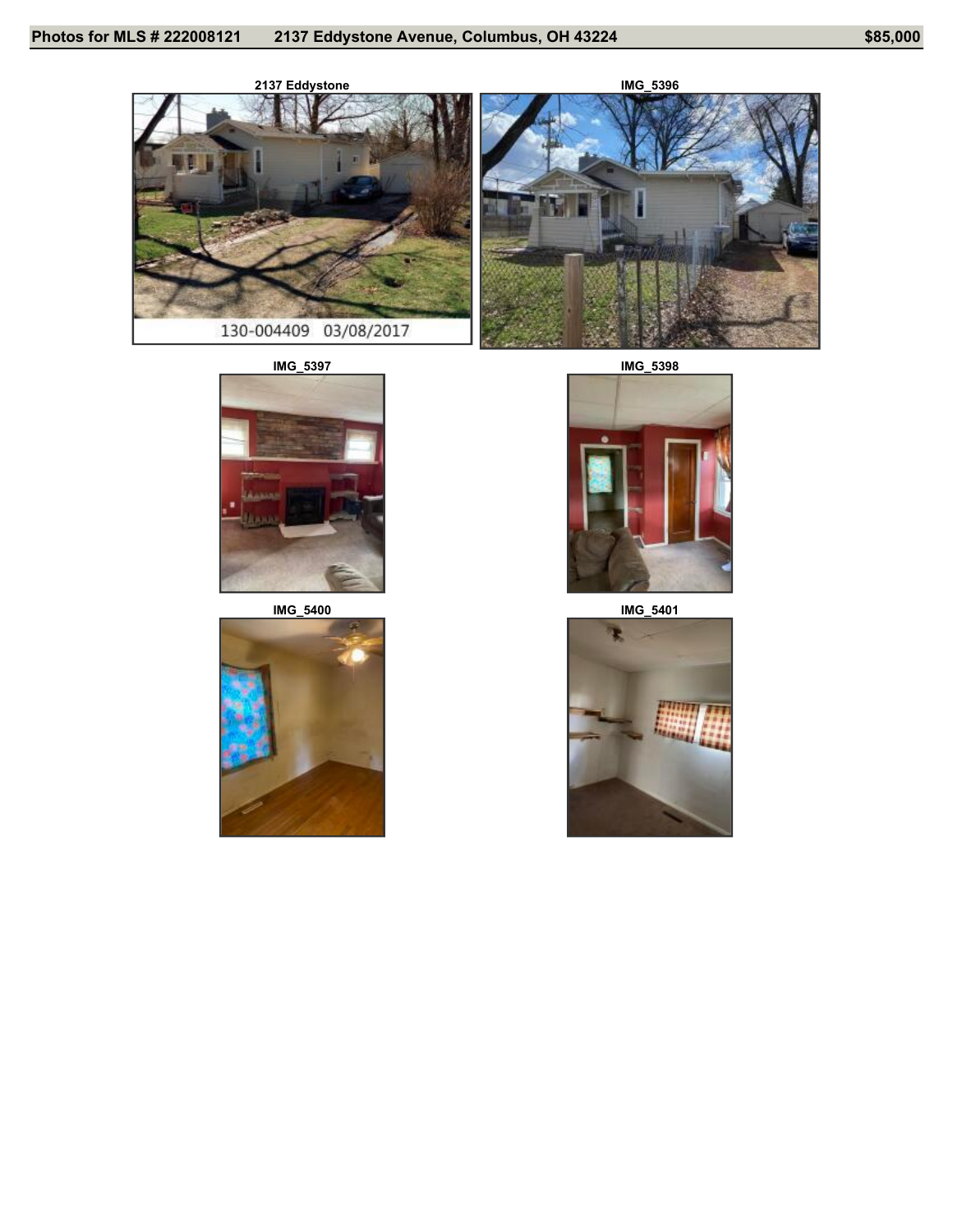



**IMG\_5397 IMG\_5398**









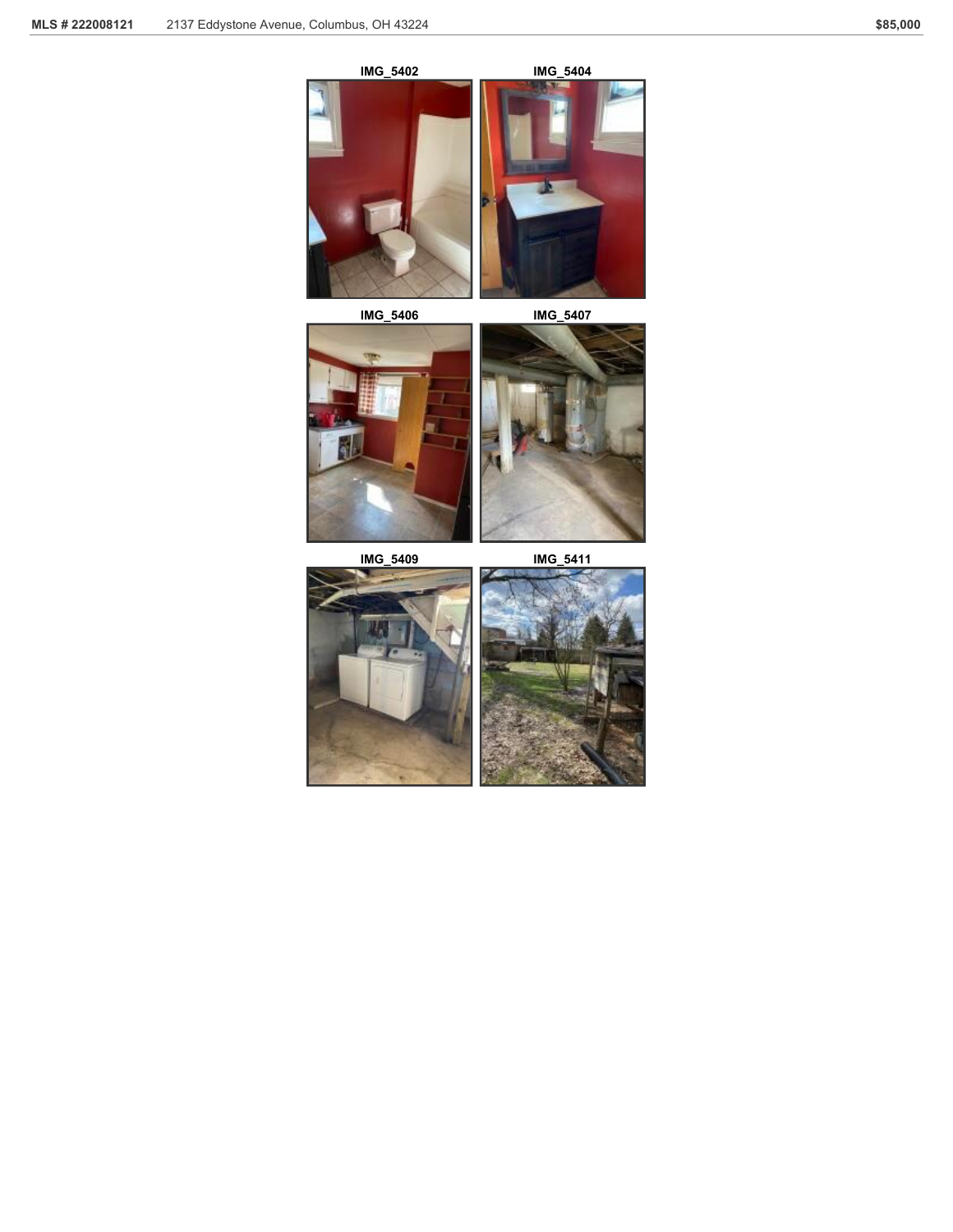

**IMG\_5406 IMG\_5407**





и,